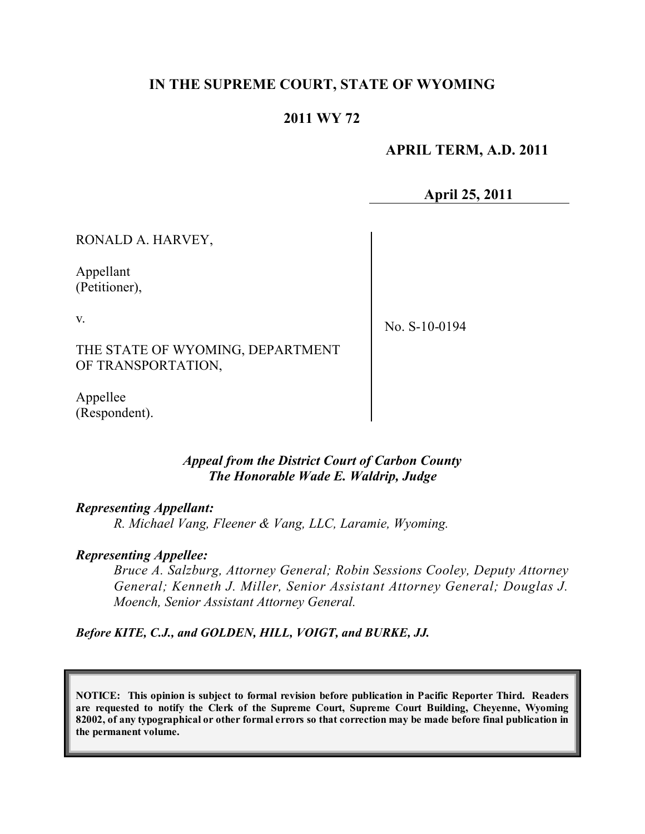# **IN THE SUPREME COURT, STATE OF WYOMING**

## **2011 WY 72**

 **APRIL TERM, A.D. 2011**

**April 25, 2011**

RONALD A. HARVEY,

Appellant (Petitioner),

v.

No. S-10-0194

THE STATE OF WYOMING, DEPARTMENT OF TRANSPORTATION,

Appellee (Respondent).

### *Appeal from the District Court of Carbon County The Honorable Wade E. Waldrip, Judge*

### *Representing Appellant:*

*R. Michael Vang, Fleener & Vang, LLC, Laramie, Wyoming.*

### *Representing Appellee:*

*Bruce A. Salzburg, Attorney General; Robin Sessions Cooley, Deputy Attorney General; Kenneth J. Miller, Senior Assistant Attorney General; Douglas J. Moench, Senior Assistant Attorney General.* 

*Before KITE, C.J., and GOLDEN, HILL, VOIGT, and BURKE, JJ.*

**NOTICE: This opinion is subject to formal revision before publication in Pacific Reporter Third. Readers are requested to notify the Clerk of the Supreme Court, Supreme Court Building, Cheyenne, Wyoming** 82002, of any typographical or other formal errors so that correction may be made before final publication in **the permanent volume.**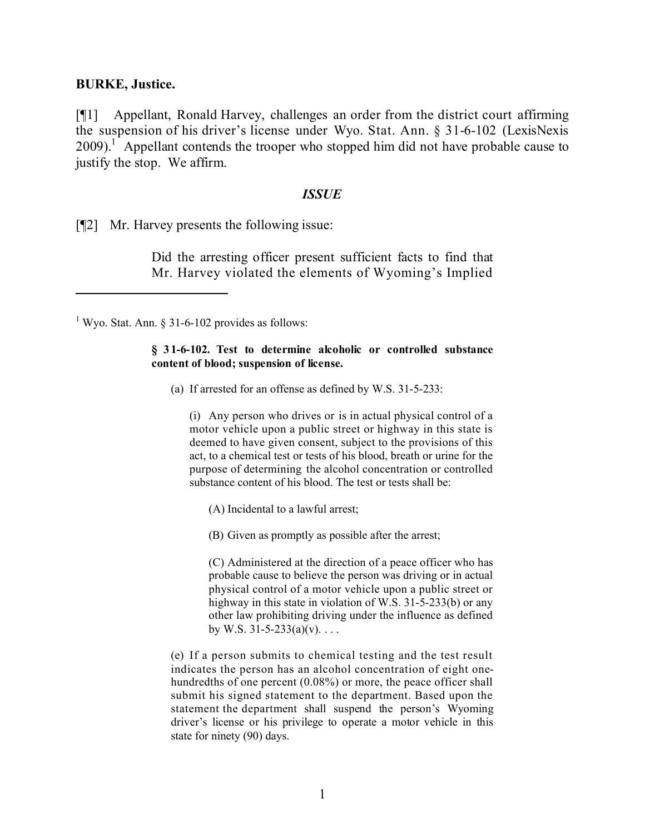### **BURKE, Justice.**

[¶1] Appellant, Ronald Harvey, challenges an order from the district court affirming the suspension of his driver's license under Wyo. Stat. Ann. § 31-6-102 (LexisNexis  $2009$ ).<sup>1</sup> Appellant contends the trooper who stopped him did not have probable cause to justify the stop. We affirm.

#### *ISSUE*

[¶2] Mr. Harvey presents the following issue:

Did the arresting officer present sufficient facts to find that Mr. Harvey violated the elements of Wyoming's Implied

<sup>1</sup> Wyo. Stat. Ann.  $\S$  31-6-102 provides as follows:

#### **§ 31-6-102. Test to determine alcoholic or controlled substance content of blood; suspension of license.**

(a) If arrested for an offense as defined by W.S. 31-5-233:

(i) Any person who drives or is in actual physical control of a motor vehicle upon a public street or highway in this state is deemed to have given consent, subject to the provisions of this act, to a chemical test or tests of his blood, breath or urine for the purpose of determining the alcohol concentration or controlled substance content of his blood. The test or tests shall be:

(A) Incidental to a lawful arrest;

(B) Given as promptly as possible after the arrest;

(C) Administered at the direction of a peace officer who has probable cause to believe the person was driving or in actual physical control of a motor vehicle upon a public street or highway in this state in violation of W.S. 31-5-233(b) or any other law prohibiting driving under the influence as defined by W.S.  $31 - 5 - 233(a)(v)$ ...

(e) If a person submits to chemical testing and the test result indicates the person has an alcohol concentration of eight onehundredths of one percent (0.08%) or more, the peace officer shall submit his signed statement to the department. Based upon the statement the department shall suspend the person's Wyoming driver's license or his privilege to operate a motor vehicle in this state for ninety (90) days.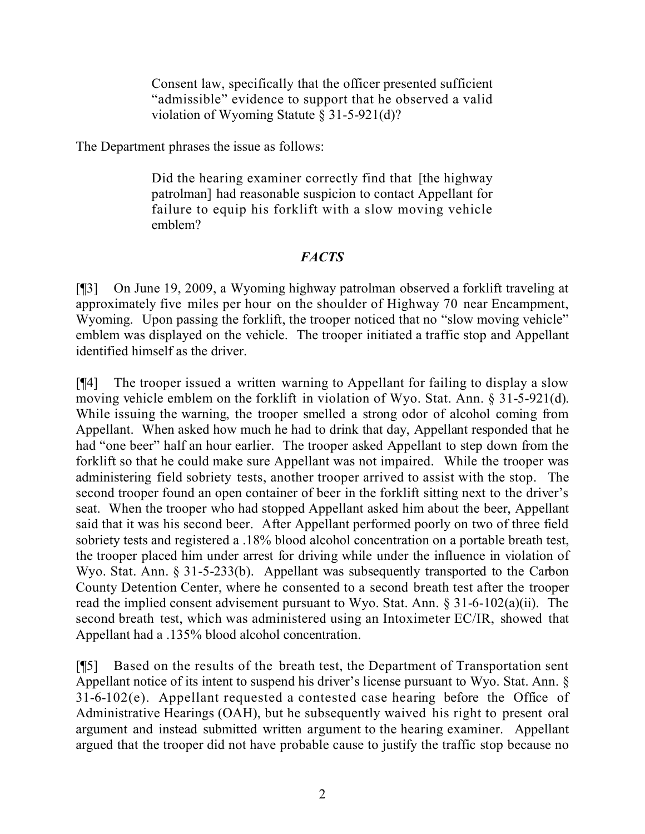Consent law, specifically that the officer presented sufficient "admissible" evidence to support that he observed a valid violation of Wyoming Statute § 31-5-921(d)?

The Department phrases the issue as follows:

Did the hearing examiner correctly find that [the highway patrolman] had reasonable suspicion to contact Appellant for failure to equip his forklift with a slow moving vehicle emblem?

## *FACTS*

[¶3] On June 19, 2009, a Wyoming highway patrolman observed a forklift traveling at approximately five miles per hour on the shoulder of Highway 70 near Encampment, Wyoming. Upon passing the forklift, the trooper noticed that no "slow moving vehicle" emblem was displayed on the vehicle. The trooper initiated a traffic stop and Appellant identified himself as the driver.

[¶4] The trooper issued a written warning to Appellant for failing to display a slow moving vehicle emblem on the forklift in violation of Wyo. Stat. Ann. § 31-5-921(d). While issuing the warning, the trooper smelled a strong odor of alcohol coming from Appellant. When asked how much he had to drink that day, Appellant responded that he had "one beer" half an hour earlier. The trooper asked Appellant to step down from the forklift so that he could make sure Appellant was not impaired. While the trooper was administering field sobriety tests, another trooper arrived to assist with the stop. The second trooper found an open container of beer in the forklift sitting next to the driver's seat. When the trooper who had stopped Appellant asked him about the beer, Appellant said that it was his second beer. After Appellant performed poorly on two of three field sobriety tests and registered a .18% blood alcohol concentration on a portable breath test, the trooper placed him under arrest for driving while under the influence in violation of Wyo. Stat. Ann. § 31-5-233(b). Appellant was subsequently transported to the Carbon County Detention Center, where he consented to a second breath test after the trooper read the implied consent advisement pursuant to Wyo. Stat. Ann. § 31-6-102(a)(ii). The second breath test, which was administered using an Intoximeter EC/IR, showed that Appellant had a .135% blood alcohol concentration.

[¶5] Based on the results of the breath test, the Department of Transportation sent Appellant notice of its intent to suspend his driver's license pursuant to Wyo. Stat. Ann. § 31-6-102(e). Appellant requested a contested case hearing before the Office of Administrative Hearings (OAH), but he subsequently waived his right to present oral argument and instead submitted written argument to the hearing examiner. Appellant argued that the trooper did not have probable cause to justify the traffic stop because no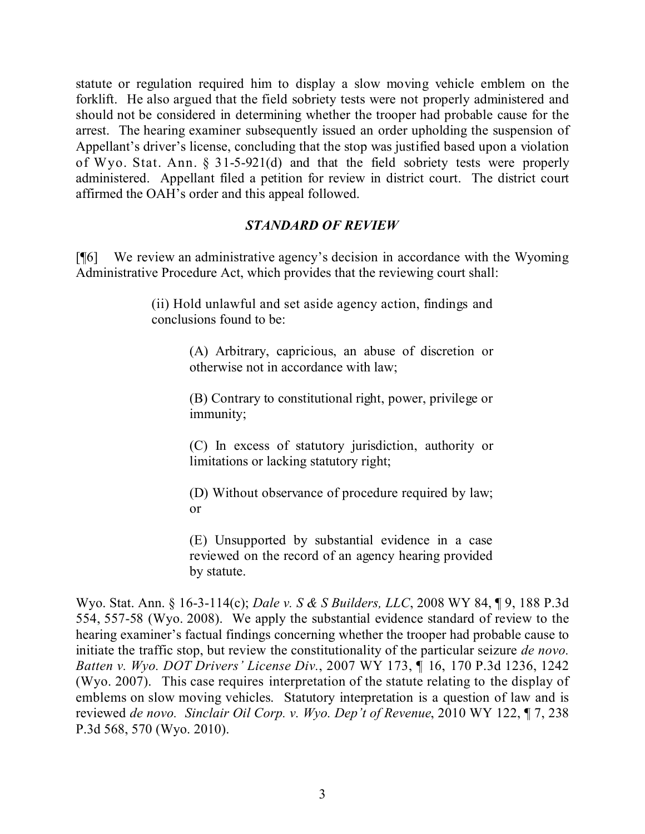statute or regulation required him to display a slow moving vehicle emblem on the forklift. He also argued that the field sobriety tests were not properly administered and should not be considered in determining whether the trooper had probable cause for the arrest. The hearing examiner subsequently issued an order upholding the suspension of Appellant's driver's license, concluding that the stop was justified based upon a violation of Wyo. Stat. Ann.  $\S$  31-5-921(d) and that the field sobriety tests were properly administered. Appellant filed a petition for review in district court. The district court affirmed the OAH's order and this appeal followed.

## *STANDARD OF REVIEW*

[¶6] We review an administrative agency's decision in accordance with the Wyoming Administrative Procedure Act, which provides that the reviewing court shall:

> (ii) Hold unlawful and set aside agency action, findings and conclusions found to be:

> > (A) Arbitrary, capricious, an abuse of discretion or otherwise not in accordance with law;

> > (B) Contrary to constitutional right, power, privilege or immunity;

> > (C) In excess of statutory jurisdiction, authority or limitations or lacking statutory right;

> > (D) Without observance of procedure required by law; or

> > (E) Unsupported by substantial evidence in a case reviewed on the record of an agency hearing provided by statute.

Wyo. Stat. Ann. § 16-3-114(c); *Dale v. S & S Builders, LLC*, 2008 WY 84, ¶ 9, 188 P.3d 554, 557-58 (Wyo. 2008). We apply the substantial evidence standard of review to the hearing examiner's factual findings concerning whether the trooper had probable cause to initiate the traffic stop, but review the constitutionality of the particular seizure *de novo. Batten v. Wyo. DOT Drivers' License Div.*, 2007 WY 173, ¶ 16, 170 P.3d 1236, 1242 (Wyo. 2007). This case requires interpretation of the statute relating to the display of emblems on slow moving vehicles. Statutory interpretation is a question of law and is reviewed *de novo. Sinclair Oil Corp. v. Wyo. Dep't of Revenue*, 2010 WY 122, ¶ 7, 238 P.3d 568, 570 (Wyo. 2010).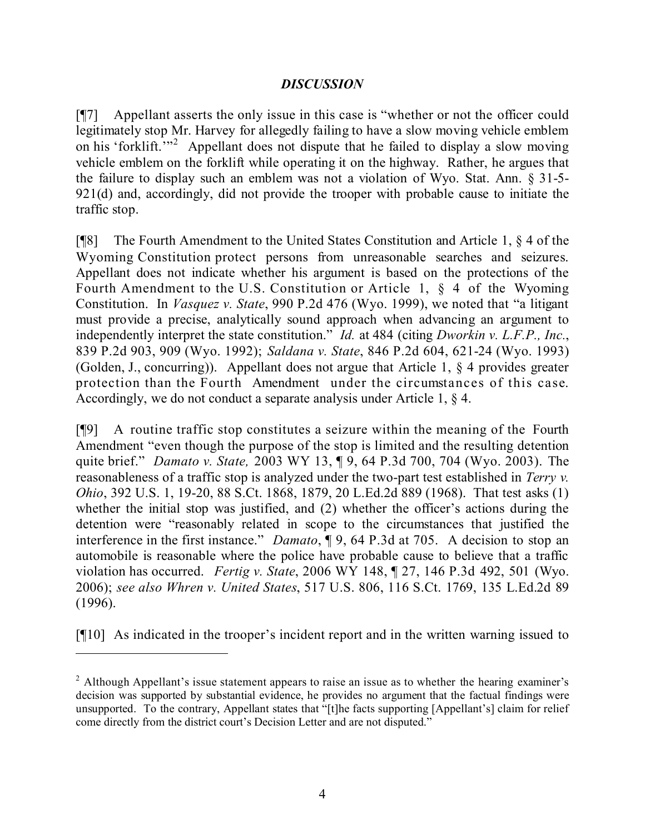## *DISCUSSION*

[¶7] Appellant asserts the only issue in this case is "whether or not the officer could legitimately stop Mr. Harvey for allegedly failing to have a slow moving vehicle emblem on his 'forklift.<sup>""2</sup> Appellant does not dispute that he failed to display a slow moving vehicle emblem on the forklift while operating it on the highway. Rather, he argues that the failure to display such an emblem was not a violation of Wyo. Stat. Ann. § 31-5- 921(d) and, accordingly, did not provide the trooper with probable cause to initiate the traffic stop.

[¶8] The Fourth Amendment to the United States Constitution and Article 1, § 4 of the Wyoming Constitution protect persons from unreasonable searches and seizures. Appellant does not indicate whether his argument is based on the protections of the Fourth Amendment to the U.S. Constitution or Article 1, § 4 of the Wyoming Constitution. In *Vasquez v. State*, 990 P.2d 476 (Wyo. 1999), we noted that "a litigant must provide a precise, analytically sound approach when advancing an argument to independently interpret the state constitution." *Id.* at 484 (citing *Dworkin v. L.F.P., Inc.*, 839 P.2d 903, 909 (Wyo. 1992); *Saldana v. State*, 846 P.2d 604, 621-24 (Wyo. 1993) (Golden, J., concurring)). Appellant does not argue that Article 1, § 4 provides greater protection than the Fourth Amendment under the circumstances of this case. Accordingly, we do not conduct a separate analysis under Article 1, § 4.

[¶9] A routine traffic stop constitutes a seizure within the meaning of the Fourth Amendment "even though the purpose of the stop is limited and the resulting detention quite brief." *Damato v. State,* 2003 WY 13, ¶ 9, 64 P.3d 700, 704 (Wyo. 2003). The reasonableness of a traffic stop is analyzed under the two-part test established in *Terry v. Ohio*, 392 U.S. 1, 19-20, 88 S.Ct. 1868, 1879, 20 L.Ed.2d 889 (1968). That test asks (1) whether the initial stop was justified, and (2) whether the officer's actions during the detention were "reasonably related in scope to the circumstances that justified the interference in the first instance." *Damato*, ¶ 9, 64 P.3d at 705. A decision to stop an automobile is reasonable where the police have probable cause to believe that a traffic violation has occurred. *Fertig v. State*, 2006 WY 148, ¶ 27, 146 P.3d 492, 501 (Wyo. 2006); *see also Whren v. United States*, 517 U.S. 806, 116 S.Ct. 1769, 135 L.Ed.2d 89 (1996).

[¶10] As indicated in the trooper's incident report and in the written warning issued to

 $2$  Although Appellant's issue statement appears to raise an issue as to whether the hearing examiner's decision was supported by substantial evidence, he provides no argument that the factual findings were unsupported. To the contrary, Appellant states that "[t]he facts supporting [Appellant's] claim for relief come directly from the district court's Decision Letter and are not disputed."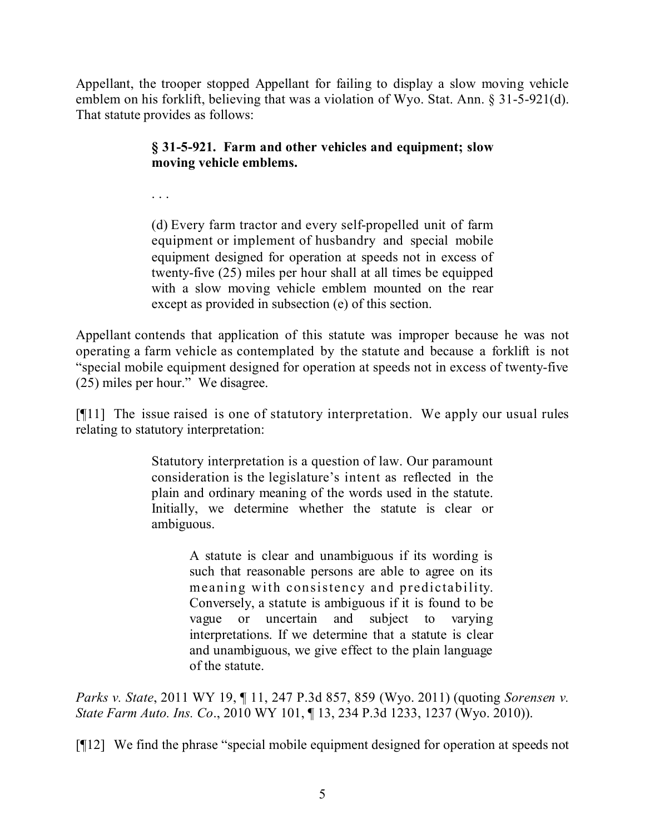Appellant, the trooper stopped Appellant for failing to display a slow moving vehicle emblem on his forklift, believing that was a violation of Wyo. Stat. Ann. § 31-5-921(d). That statute provides as follows:

# **§ 31-5-921. Farm and other vehicles and equipment; slow moving vehicle emblems.**

. . .

(d) Every farm tractor and every self-propelled unit of farm equipment or implement of husbandry and special mobile equipment designed for operation at speeds not in excess of twenty-five (25) miles per hour shall at all times be equipped with a slow moving vehicle emblem mounted on the rear except as provided in subsection (e) of this section.

Appellant contends that application of this statute was improper because he was not operating a farm vehicle as contemplated by the statute and because a forklift is not "special mobile equipment designed for operation at speeds not in excess of twenty-five (25) miles per hour." We disagree.

[¶11] The issue raised is one of statutory interpretation. We apply our usual rules relating to statutory interpretation:

> Statutory interpretation is a question of law. Our paramount consideration is the legislature's intent as reflected in the plain and ordinary meaning of the words used in the statute. Initially, we determine whether the statute is clear or ambiguous.

> > A statute is clear and unambiguous if its wording is such that reasonable persons are able to agree on its meaning with consistency and predictability. Conversely, a statute is ambiguous if it is found to be vague or uncertain and subject to varying interpretations. If we determine that a statute is clear and unambiguous, we give effect to the plain language of the statute.

*Parks v. State*, 2011 WY 19, ¶ 11, 247 P.3d 857, 859 (Wyo. 2011) (quoting *Sorensen v. State Farm Auto. Ins. Co*., 2010 WY 101, ¶ 13, 234 P.3d 1233, 1237 (Wyo. 2010)).

[¶12] We find the phrase "special mobile equipment designed for operation at speeds not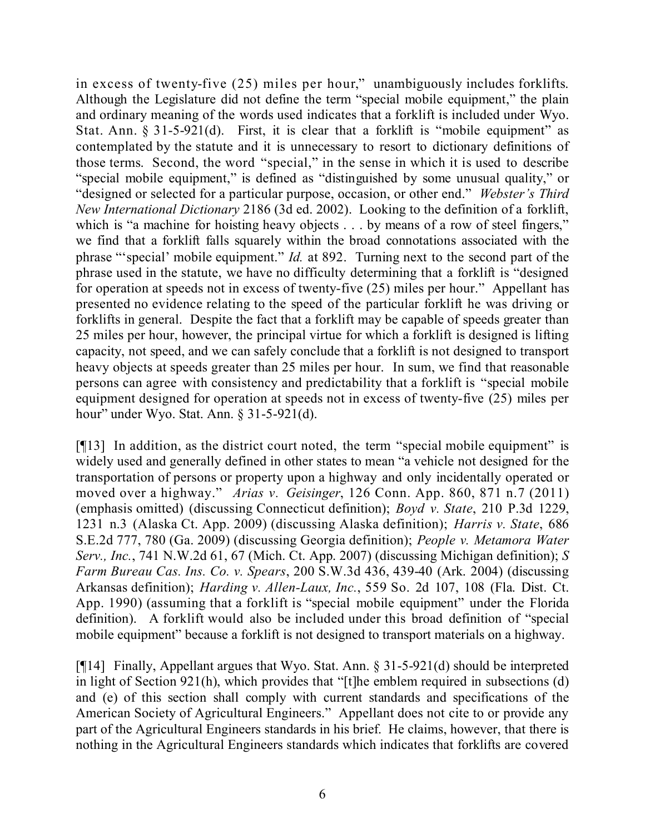in excess of twenty-five (25) miles per hour," unambiguously includes forklifts. Although the Legislature did not define the term "special mobile equipment," the plain and ordinary meaning of the words used indicates that a forklift is included under Wyo. Stat. Ann.  $\S 31-5-921(d)$ . First, it is clear that a forklift is "mobile equipment" as contemplated by the statute and it is unnecessary to resort to dictionary definitions of those terms. Second, the word "special," in the sense in which it is used to describe "special mobile equipment," is defined as "distinguished by some unusual quality," or "designed or selected for a particular purpose, occasion, or other end." *Webster's Third New International Dictionary* 2186 (3d ed. 2002). Looking to the definition of a forklift, which is "a machine for hoisting heavy objects . . . by means of a row of steel fingers," we find that a forklift falls squarely within the broad connotations associated with the phrase "'special' mobile equipment." *Id.* at 892. Turning next to the second part of the phrase used in the statute, we have no difficulty determining that a forklift is "designed for operation at speeds not in excess of twenty-five (25) miles per hour." Appellant has presented no evidence relating to the speed of the particular forklift he was driving or forklifts in general. Despite the fact that a forklift may be capable of speeds greater than 25 miles per hour, however, the principal virtue for which a forklift is designed is lifting capacity, not speed, and we can safely conclude that a forklift is not designed to transport heavy objects at speeds greater than 25 miles per hour. In sum, we find that reasonable persons can agree with consistency and predictability that a forklift is "special mobile equipment designed for operation at speeds not in excess of twenty-five (25) miles per hour" under Wyo. Stat. Ann. § 31-5-921(d).

[¶13] In addition, as the district court noted, the term "special mobile equipment" is widely used and generally defined in other states to mean "a vehicle not designed for the transportation of persons or property upon a highway and only incidentally operated or moved over a highway." *Arias v. Geisinger*, 126 Conn. App. 860, 871 n.7 (2011) (emphasis omitted) (discussing Connecticut definition); *Boyd v. State*, 210 P.3d 1229, 1231 n.3 (Alaska Ct. App. 2009) (discussing Alaska definition); *Harris v. State*, 686 S.E.2d 777, 780 (Ga. 2009) (discussing Georgia definition); *People v. Metamora Water Serv., Inc.*, 741 N.W.2d 61, 67 (Mich. Ct. App. 2007) (discussing Michigan definition); *S Farm Bureau Cas. Ins. Co. v. Spears*, 200 S.W.3d 436, 439-40 (Ark. 2004) (discussing Arkansas definition); *Harding v. Allen-Laux, Inc.*, 559 So. 2d 107, 108 (Fla. Dist. Ct. App. 1990) (assuming that a forklift is "special mobile equipment" under the Florida definition). A forklift would also be included under this broad definition of "special mobile equipment" because a forklift is not designed to transport materials on a highway.

[¶14] Finally, Appellant argues that Wyo. Stat. Ann. § 31-5-921(d) should be interpreted in light of Section 921(h), which provides that "[t]he emblem required in subsections (d) and (e) of this section shall comply with current standards and specifications of the American Society of Agricultural Engineers." Appellant does not cite to or provide any part of the Agricultural Engineers standards in his brief. He claims, however, that there is nothing in the Agricultural Engineers standards which indicates that forklifts are covered